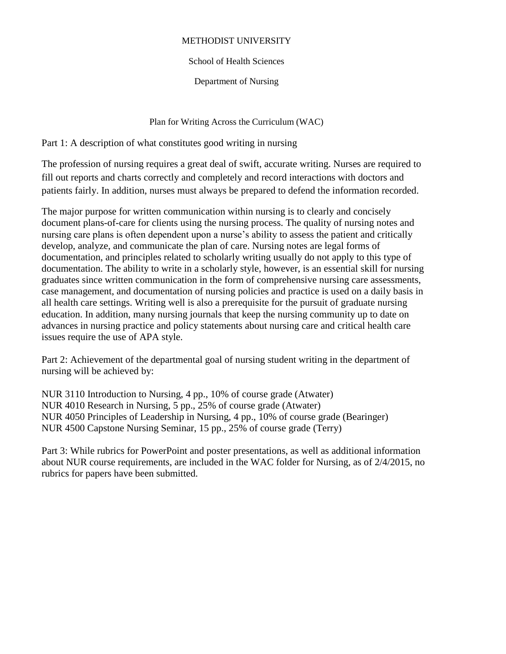## METHODIST UNIVERSITY

## School of Health Sciences

Department of Nursing

Plan for Writing Across the Curriculum (WAC)

Part 1: A description of what constitutes good writing in nursing

The profession of nursing requires a great deal of swift, accurate writing. Nurses are required to fill out reports and charts correctly and completely and record interactions with doctors and patients fairly. In addition, nurses must always be prepared to defend the information recorded.

The major purpose for written communication within nursing is to clearly and concisely document plans-of-care for clients using the nursing process. The quality of nursing notes and nursing care plans is often dependent upon a nurse's ability to assess the patient and critically develop, analyze, and communicate the plan of care. Nursing notes are legal forms of documentation, and principles related to scholarly writing usually do not apply to this type of documentation. The ability to write in a scholarly style, however, is an essential skill for nursing graduates since written communication in the form of comprehensive nursing care assessments, case management, and documentation of nursing policies and practice is used on a daily basis in all health care settings. Writing well is also a prerequisite for the pursuit of graduate nursing education. In addition, many nursing journals that keep the nursing community up to date on advances in nursing practice and policy statements about nursing care and critical health care issues require the use of APA style.

Part 2: Achievement of the departmental goal of nursing student writing in the department of nursing will be achieved by:

NUR 3110 Introduction to Nursing, 4 pp., 10% of course grade (Atwater) NUR 4010 Research in Nursing, 5 pp., 25% of course grade (Atwater) NUR 4050 Principles of Leadership in Nursing, 4 pp., 10% of course grade (Bearinger) NUR 4500 Capstone Nursing Seminar, 15 pp., 25% of course grade (Terry)

Part 3: While rubrics for PowerPoint and poster presentations, as well as additional information about NUR course requirements, are included in the WAC folder for Nursing, as of 2/4/2015, no rubrics for papers have been submitted.